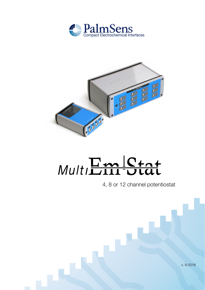



# Multi<del>Line Ctat</del>

4, 8 or 12 channel potentiostat

v. 9-2018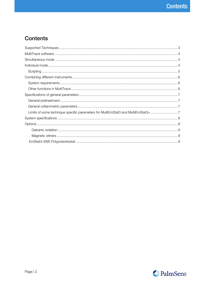## **Contents**

| Limits of some technique specific parameters for MultiEmStat3 and MultiEmStat3+ 7 |  |
|-----------------------------------------------------------------------------------|--|
|                                                                                   |  |
|                                                                                   |  |
|                                                                                   |  |
|                                                                                   |  |
|                                                                                   |  |

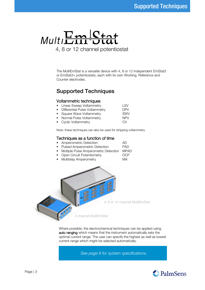## $MultI<sub>III</sub>$  Utat 4, 8 or 12 channel potentiostat

The MultiEmStat is a versatile device with 4, 8 or 12 independent EmStat3 or EmStat3+ potentiostats, each with its own Working, Reference and Counter electrodes.

## <span id="page-2-0"></span>Supported Techniques

#### Voltammetric techniques

- **•** Linear Sweep Voltammetry **LARET EXAM**<br>• Differential Pulse Voltammetry **DPV** ▪ Differential Pulse Voltammetry DPV **•** Square Wave Voltammetry **SWV SWV**<br>• Normal Pulse Voltammetry **SWV**
- Normal Pulse Voltammetry NPV **Cyclic Voltammetry**

Note: these techniques can also be used for stripping voltammetry

#### Techniques as a function of time

**■** Amperometric Detection **AD**<br>■ Pulsed Amperometric Detection **AD** Pulsed Amperometric Detection Multiple Pulse Amperometric Detection MPAD<br>
Open Circuit Potentiometry OCP **Open Circuit Potentiometry** Multistep Amperometry MA 4 channel MultiEmStat 4, 8 or 12 channel MultiEmStat

> Where possible, the electrochemical techniques can be applied using auto ranging which means that the instrument automatically sets the optimal current range. The user can specify the highest as well as lowest current range which might be selected automatically.

> > See page 8 for system specifications.

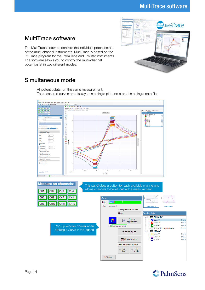

## <span id="page-3-0"></span>MultiTrace software

The MultiTrace software controls the individual potentiostats of the multi-channel instruments. MultiTrace is based on the PSTrace program for the PalmSens and EmStat instruments. The software allows you to control the multi-channel potentiostat in two different modes:

## <span id="page-3-1"></span>Simultaneous mode

All potentiostats run the same measurement. The measured curves are displayed in a single plot and stored in a single data file.



| <b>Measure on channels:</b> |  |                    |  |  |
|-----------------------------|--|--------------------|--|--|
|                             |  | CH1 CH2 CH3 CH4    |  |  |
|                             |  | CH5 CH6 CH7 CH8    |  |  |
|                             |  | CH9 CH10 CH11 CH12 |  |  |

This panel gives a button for each available channel and allows channels to be left out with a measurement.

<span id="page-3-2"></span>

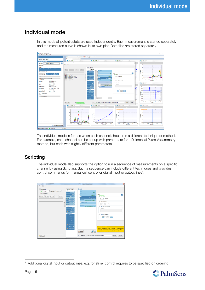## Individual mode

In this mode all potentiostats are used independently. Each measurement is started separately and the measured curve is shown in its own plot. Data files are stored separately.



The Individual mode is for use when each channel should run a different technique or method. For example, each channel can be set up with parameters for a Differential Pulse Voltammetry method, but each with slightly different parameters.

## <span id="page-4-0"></span>**Scripting**

The individual mode also supports the option to run a sequence of measurements on a specific channel by using Scripting. Such a sequence can include different techniques and provides control commands for manual cell control or digital input or output lines $^{\rm 1}.$ 



<sup>1</sup> <sup>1</sup> Additional digital input or output lines, e.g. for stirrer control requires to be specified on ordering.

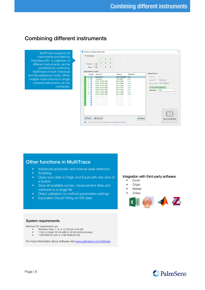## <span id="page-5-0"></span>Combining different instruments

MultiTrace supports all instruments provided by PalmSens BV. A collection of different instruments can be combined for control by MultiTrace in both Individual and Simultaneous mode. Either multiple multi-channel or single channel instruments can be combined.

|                              | Columns: 3<br>$\overline{\mathbf{3}}$<br>Rows:                                                                                                                                                   | $\mathbf{1}$<br>4<br>$\overline{7}$<br>$\left  \frac{\bullet}{\bullet} \right $                                                                                                                                                                            | $\overline{2}$<br>5<br>8 | 3<br>6<br>9 |                                                                                                                                                                                                    |                                                                                                                                                                                               |                  |                                                          |                                                                                     |                       |
|------------------------------|--------------------------------------------------------------------------------------------------------------------------------------------------------------------------------------------------|------------------------------------------------------------------------------------------------------------------------------------------------------------------------------------------------------------------------------------------------------------|--------------------------|-------------|----------------------------------------------------------------------------------------------------------------------------------------------------------------------------------------------------|-----------------------------------------------------------------------------------------------------------------------------------------------------------------------------------------------|------------------|----------------------------------------------------------|-------------------------------------------------------------------------------------|-----------------------|
|                              | Drag devices to re-order<br>Channel                                                                                                                                                              | Device ID                                                                                                                                                                                                                                                  |                          |             | Serial no                                                                                                                                                                                          | Description                                                                                                                                                                                   |                  | <b>Selected Device</b>                                   |                                                                                     |                       |
| ÷<br>÷<br>$\frac{1}{2}$<br>. | Ħ.<br>ా<br>൙<br>$\overline{2}$<br>3<br>൙<br>൙<br>4<br>൙<br>5<br>൙<br>6<br>൙<br>$\overline{7}$<br>൙<br>8<br>൙<br>9<br>10 <sup>o</sup><br>൙<br>11<br>12 <sup>o</sup><br>13 <sup>4</sup><br>$14$ of | PalmSens4<br>PalmSens3<br>MES3 18225CH001<br>MES3 18225CH002<br>MES3 18225CH003<br>MES3_18225CH004<br>MES3 18225CH005<br>MES3 18225CH006<br>MES3_18225CH007<br>MES3 18225CH008<br>MES3 18225CH009<br>MES3 18225CH010<br>MES3 18225CH011<br>MES3 18225CH012 |                          |             | PS4C17B000061<br>PS313B020<br>ES3 17D545<br>ES3 17D565<br>ES3 17D566<br>ES3 17D570<br>ES3 17D561<br>ES3 17D583<br>ES3 17D589<br>ES3 17D591<br>ES3 17D595<br>ES3 17D599<br>ES3 17D605<br>ES3 17D610 | $PS-4$<br>$PS-3$<br>CH <sub>3</sub><br>CH <sub>4</sub><br>CH <sub>5</sub><br>CH 6<br>CH <sub>7</sub><br>CH <sub>8</sub><br>CH <sub>9</sub><br>CH 10<br>CH 11<br>CH 12<br><b>CH13</b><br>CH 14 |                  | Channel:<br>Device ID:<br>Device serial:<br>Description: | $\mathbf{1}$<br>PalmSens4<br>PS4C17B000061<br>Use custom description<br><b>PS-4</b> |                       |
|                              | Pin all                                                                                                                                                                                          | <b>C</b> Unpin all                                                                                                                                                                                                                                         |                          |             |                                                                                                                                                                                                    |                                                                                                                                                                                               | <b>↑</b> Refresh |                                                          |                                                                                     | Start Individual Mode |

## Other functions in MultiTrace

- Advanced automatic and manual peak detection
- **Scripting**
- Open your data in Origin and Excel with one click of a button
- **EXEC** Save all available curves, measurement data and methods to a single file
- **•** Direct validation on method parameters settings
- **■** Equivalent Circuit Fitting on EIS data

#### System requirements

Minimum PC requirements are:

- Windows Vista, 7, 8, or 10 (32-bit or 64-bit)<br>• 1 GHz or faster 32-bit (x86) or 64-bit (x64) or
- **EXECUTE 1** GHz or faster 32-bit (x86) or 64-bit (x64) processor<br> $\frac{1}{2}$  CB PAM (32 bit) or 3 GB PAM (64 bit)
- 1 GB RAM (32-bit) or 2 GB RAM (64-bit)

For more information about software visit [www.palmsens.com/software](file:///C:/Users/Lutz%20Stratmann/PalmSensCloud/Customer%20Inquiries/User%20InquiriesArchive/Descriptions/PalmSens3/www.palmsens.com/software)

#### Integration with third-party software:

- Excel
- **Origin**
- **Matlab**
- **ZView**



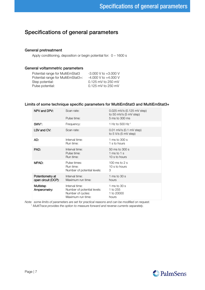## <span id="page-6-0"></span>Specifications of general parameters

#### <span id="page-6-1"></span>General pretreatment

Apply conditioning, deposition or begin potential for: 0 – 1600 s

#### <span id="page-6-2"></span>General voltammetric parameters

| Potential range for MultiEmStat3   | $-3.000$ V to $+3.000$ V |
|------------------------------------|--------------------------|
| Potential range for MultiEmStat3+: | $-4.000$ V to $+4.000$ V |
| Step potential:                    | $0.125$ mV to 250 mV     |
| Pulse potential:                   | $0.125$ mV to 250 mV     |

#### <span id="page-6-3"></span>Limits of some technique specific parameters for MultiEmStat3 and MultiEmStat3+

| NPV and DPV:                            | Scan rate:<br>Pulse time:                                                               | 0.025 mV/s (0.125 mV step)<br>to 50 mV/s (5 mV step)<br>5 ms to 300 ms |
|-----------------------------------------|-----------------------------------------------------------------------------------------|------------------------------------------------------------------------|
| SWV:                                    | Frequency:                                                                              | 1 Hz to 500 Hz $^1$                                                    |
|                                         |                                                                                         |                                                                        |
| LSV and CV:                             | Scan rate:                                                                              | 0.01 mV/s (0.1 mV step)<br>to $5$ V/s $(5$ mV step)                    |
| AD:                                     | Interval time:<br>Run time:                                                             | 1 ms to 300 s<br>1 s to hours                                          |
| PAD:                                    | Interval time:<br>Pulse time:<br>Run time:                                              | 50 ms to 300 s<br>1 ms to 1 s<br>10 s to hours                         |
| MPAD:                                   | Pulse times:<br>Run time:<br>Number of potential levels:                                | 100 ms to 2 s<br>10 s to hours<br>3                                    |
| Potentiometry at<br>open circuit (OCP): | Interval time:<br>Maximum run time:                                                     | 1 ms to $30 s$<br>hours                                                |
| Multistep<br>Amperometry:               | Interval time:<br>Number of potential levels:<br>Number of cycles:<br>Maximum run time: | 1 ms to 30 s<br>1 to 255<br>1 to 20000<br>hours                        |

Note: some limits of parameters are set for practical reasons and can be modified on request. <sup>1</sup> MultiTrace provides the option to measure forward and reverse currents separately.

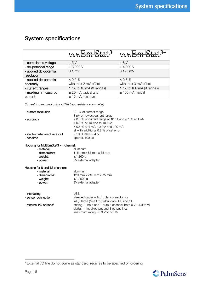## <span id="page-7-0"></span>System specifications

|                                      | MultiEm-Stat <sup>3</sup>                  | MultiEm-Stat <sup>3+</sup> |
|--------------------------------------|--------------------------------------------|----------------------------|
| - compliance voltage                 | ± 5V                                       | $\pm$ 8 V                  |
| - dc-potential range                 | ± 3.000 V                                  | $±$ 4.000 V                |
| - applied dc-potential<br>resolution | $0.1$ mV                                   | $0.125$ mV                 |
| - applied dc-potential               | $< 0.2 \%$                                 | $\leq 0.3 \%$              |
| accuracy                             | with max 2 mV offset                       | with max 3 mV offset       |
| - current ranges                     | 1 nA to 10 mA (8 ranges)                   | 1 nA to 100 mA (9 ranges)  |
| - maximum measured<br>current        | $±$ 20 mA typical and<br>$± 15$ mA minimum | $±$ 100 mA typical         |

Current is measured using a ZRA (zero resistance ammeter)

| - current resolution<br>- accuracy<br>- electrometer amplifier input<br>- rise time            | 0.1 % of current range<br>1 pA on lowest current range<br>$\leq$ 0.5 % of current range at 10 nA and $\leq$ 1 % at 1 nA<br>$< 0.2$ % at 100 nA to 100 uA<br>$\leq$ 0.5 % at 1 mA, 10 mA and 100 mA<br>all with additional 0.2 % offset error<br>> 100 Gohm // 4 pF<br>approx. 100 µs |
|------------------------------------------------------------------------------------------------|--------------------------------------------------------------------------------------------------------------------------------------------------------------------------------------------------------------------------------------------------------------------------------------|
| Housing for MultiEmStat3 - 4 channel:<br>- material:<br>- dimensions:<br>- weight:<br>- power: | aluminum<br>115 mm x 85 mm x 35 mm<br>$+/- 260$ q<br>5V external adapter                                                                                                                                                                                                             |
| Housing for 8 and 12 channels:<br>- material:<br>- dimensions:<br>- weight:<br>- power:        | aluminum<br>120 mm x 210 mm x 75 mm<br>$+/- 2000$ q<br>9V external adapter                                                                                                                                                                                                           |
| - interfacing<br>- sensor connection<br>- external I/O options <sup>2</sup>                    | <b>USB</b><br>shielded cable with circular connector for<br>WE, Sense (MultiEmStat3+ only), RE and CE.<br>analog: 1 input and 1 output channel (both 0 V - 4.096 V)<br>digital: 1 input/output and 3 output lines<br>(maximum rating: $-0.3$ V to 5.3 V)                             |

<sup>1</sup>  $^2$  External I/O line do not come as standard, requires to be specified on ordering